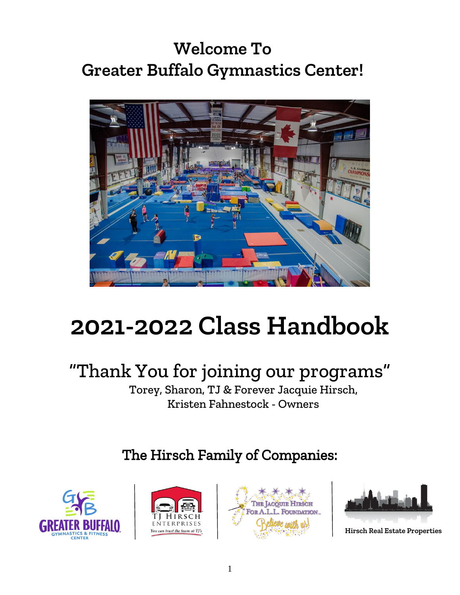## **Welcome To Greater Buffalo Gymnastics Center!**



# **2021-2022 Class Handbook**

# "Thank You for joining our programs"

Torey, Sharon, TJ & Forever Jacquie Hirsch, Kristen Fahnestock - Owners

## The Hirsch Family of Companies:









**Hirsch Real Estate Properties**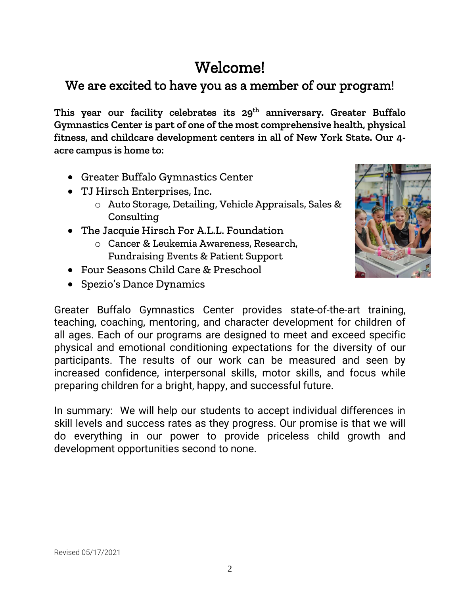## Welcome!

## We are excited to have you as a member of our program!

**This year our facility celebrates its 29 th anniversary. Greater Buffalo Gymnastics Center is part of one of the most comprehensive health, physical fitness, and childcare development centers in all of New York State. Our 4 acre campus is home to:** 

- Greater Buffalo Gymnastics Center
- TJ Hirsch Enterprises, Inc.
	- o Auto Storage, Detailing, Vehicle Appraisals, Sales & Consulting
- The Jacquie Hirsch For A.L.L. Foundation
	- o Cancer & Leukemia Awareness, Research, Fundraising Events & Patient Support
- Four Seasons Child Care & Preschool
- Spezio's Dance Dynamics



Greater Buffalo Gymnastics Center provides state-of-the-art training, teaching, coaching, mentoring, and character development for children of all ages. Each of our programs are designed to meet and exceed specific physical and emotional conditioning expectations for the diversity of our participants. The results of our work can be measured and seen by increased confidence, interpersonal skills, motor skills, and focus while preparing children for a bright, happy, and successful future.

In summary: We will help our students to accept individual differences in skill levels and success rates as they progress. Our promise is that we will do everything in our power to provide priceless child growth and development opportunities second to none.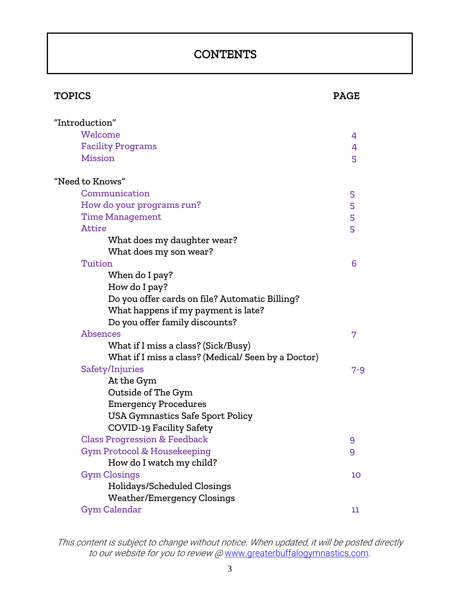## **CONTENTS**

| <b>TOPICS</b>                                       | <b>PAGE</b> |
|-----------------------------------------------------|-------------|
| "Introduction"                                      |             |
| Welcome                                             | 4           |
| <b>Facility Programs</b>                            | 4           |
| <b>Mission</b>                                      | 5           |
| "Need to Knows"                                     |             |
| Communication                                       | 5           |
| How do your programs run?                           | 5           |
| <b>Time Management</b>                              | 5           |
| <b>Attire</b>                                       | 5           |
| What does my daughter wear?                         |             |
| What does my son wear?                              |             |
| Tuition                                             | 6           |
| When do I pay?                                      |             |
| How do I pay?                                       |             |
| Do you offer cards on file? Automatic Billing?      |             |
| What happens if my payment is late?                 |             |
| Do you offer family discounts?                      |             |
| <b>Absences</b>                                     | 7           |
| What if I miss a class? (Sick/Busy)                 |             |
| What if I miss a class? (Medical/ Seen by a Doctor) |             |
| Safety/Injuries                                     | $7 - 9$     |
| At the Gym                                          |             |
| Outside of The Gym                                  |             |
| <b>Emergency Procedures</b>                         |             |
| <b>USA Gymnastics Safe Sport Policy</b>             |             |
| <b>COVID-19 Facility Safety</b>                     |             |
| <b>Class Progression &amp; Feedback</b>             | 9           |
| <b>Gym Protocol &amp; Housekeeping</b>              | 9           |
| How do I watch my child?                            |             |
| <b>Gym Closings</b>                                 | 10          |
| Holidays/Scheduled Closings                         |             |
| <b>Weather/Emergency Closings</b>                   |             |
| <b>Gym Calendar</b>                                 | 11          |

This content is subject to change without notice. When updated, it will be posted directly to our website for you to review @ [www.greaterbuffalogymnastics.com](http://www.greaterbuffalogymnastics.com/).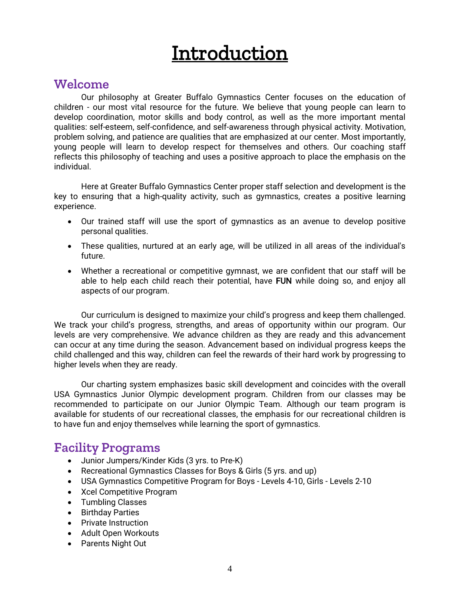# **Introduction**

### **Welcome**

Our philosophy at Greater Buffalo Gymnastics Center focuses on the education of children - our most vital resource for the future. We believe that young people can learn to develop coordination, motor skills and body control, as well as the more important mental qualities: self-esteem, self-confidence, and self-awareness through physical activity. Motivation, problem solving, and patience are qualities that are emphasized at our center. Most importantly, young people will learn to develop respect for themselves and others. Our coaching staff reflects this philosophy of teaching and uses a positive approach to place the emphasis on the individual.

Here at Greater Buffalo Gymnastics Center proper staff selection and development is the key to ensuring that a high-quality activity, such as gymnastics, creates a positive learning experience.

- Our trained staff will use the sport of gymnastics as an avenue to develop positive personal qualities.
- These qualities, nurtured at an early age, will be utilized in all areas of the individual's future.
- Whether a recreational or competitive gymnast, we are confident that our staff will be able to help each child reach their potential, have FUN while doing so, and enjoy all aspects of our program.

Our curriculum is designed to maximize your child's progress and keep them challenged. We track your child's progress, strengths, and areas of opportunity within our program. Our levels are very comprehensive. We advance children as they are ready and this advancement can occur at any time during the season. Advancement based on individual progress keeps the child challenged and this way, children can feel the rewards of their hard work by progressing to higher levels when they are ready.

Our charting system emphasizes basic skill development and coincides with the overall USA Gymnastics Junior Olympic development program. Children from our classes may be recommended to participate on our Junior Olympic Team. Although our team program is available for students of our recreational classes, the emphasis for our recreational children is to have fun and enjoy themselves while learning the sport of gymnastics.

### **Facility Programs**

- Junior Jumpers/Kinder Kids (3 yrs. to Pre-K)
- Recreational Gymnastics Classes for Boys & Girls (5 yrs. and up)
- USA Gymnastics Competitive Program for Boys Levels 4-10, Girls Levels 2-10
- Xcel Competitive Program
- Tumbling Classes
- Birthday Parties
- Private Instruction
- Adult Open Workouts
- Parents Night Out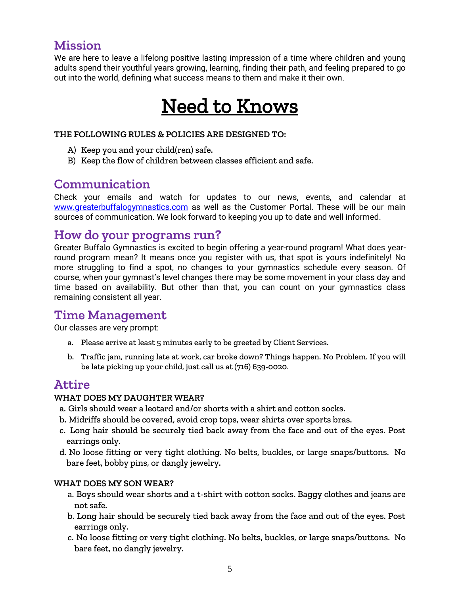## **Mission**

We are here to leave a lifelong positive lasting impression of a time where children and young adults spend their youthful years growing, learning, finding their path, and feeling prepared to go out into the world, defining what success means to them and make it their own.

# Need to Knows

#### **THE FOLLOWING RULES & POLICIES ARE DESIGNED TO:**

- A) Keep you and your child(ren) safe.
- B) Keep the flow of children between classes efficient and safe.

### **Communication**

Check your emails and watch for updates to our news, events, and calendar at [www.greaterbuffalogymnastics.com](http://www.greaterbuffalogymnastics.com/) as well as the Customer Portal. These will be our main sources of communication. We look forward to keeping you up to date and well informed.

## **How do your programs run?**

Greater Buffalo Gymnastics is excited to begin offering a year-round program! What does yearround program mean? It means once you register with us, that spot is yours indefinitely! No more struggling to find a spot, no changes to your gymnastics schedule every season. Of course, when your gymnast's level changes there may be some movement in your class day and time based on availability. But other than that, you can count on your gymnastics class remaining consistent all year.

## **Time Management**

Our classes are very prompt:

- a. Please arrive at least 5 minutes early to be greeted by Client Services.
- b. Traffic jam, running late at work, car broke down? Things happen. No Problem. If you will be late picking up your child, just call us at (716) 639-0020.

### **Attire**

#### **WHAT DOES MY DAUGHTER WEAR?**

- a. Girls should wear a leotard and/or shorts with a shirt and cotton socks.
- b. Midriffs should be covered, avoid crop tops, wear shirts over sports bras.
- c. Long hair should be securely tied back away from the face and out of the eyes. Post earrings only.
- d. No loose fitting or very tight clothing. No belts, buckles, or large snaps/buttons. No bare feet, bobby pins, or dangly jewelry.

#### **WHAT DOES MY SON WEAR?**

- a. Boys should wear shorts and a t-shirt with cotton socks. Baggy clothes and jeans are not safe.
- b. Long hair should be securely tied back away from the face and out of the eyes. Post earrings only.
- c. No loose fitting or very tight clothing. No belts, buckles, or large snaps/buttons. No bare feet, no dangly jewelry.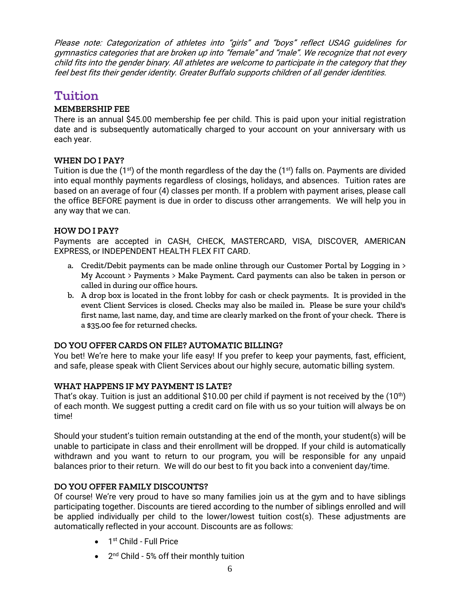Please note: Categorization of athletes into "girls" and "boys" reflect USAG guidelines for gymnastics categories that are broken up into "female" and "male". We recognize that not every child fits into the gender binary. All athletes are welcome to participate in the category that they feel best fits their gender identity. Greater Buffalo supports children of all gender identities.

### **Tuition**

#### **MEMBERSHIP FEE**

There is an annual \$45.00 membership fee per child. This is paid upon your initial registration date and is subsequently automatically charged to your account on your anniversary with us each year.

#### **WHEN DO I PAY?**

Tuition is due the  $(1^{st})$  of the month regardless of the day the  $(1^{st})$  falls on. Payments are divided into equal monthly payments regardless of closings, holidays, and absences. Tuition rates are based on an average of four (4) classes per month. If a problem with payment arises, please call the office BEFORE payment is due in order to discuss other arrangements. We will help you in any way that we can.

#### **HOW DO I PAY?**

Payments are accepted in CASH, CHECK, MASTERCARD, VISA, DISCOVER, AMERICAN EXPRESS, or INDEPENDENT HEALTH FLEX FIT CARD.

- a. Credit/Debit payments can be made online through our Customer Portal by Logging in  $\geq$ My Account > Payments > Make Payment. Card payments can also be taken in person or called in during our office hours.
- b. A drop box is located in the front lobby for cash or check payments. It is provided in the event Client Services is closed. Checks may also be mailed in. Please be sure your child's first name, last name, day, and time are clearly marked on the front of your check. There is a \$35.00 fee for returned checks.

#### **DO YOU OFFER CARDS ON FILE? AUTOMATIC BILLING?**

You bet! We're here to make your life easy! If you prefer to keep your payments, fast, efficient, and safe, please speak with Client Services about our highly secure, automatic billing system.

#### **WHAT HAPPENS IF MY PAYMENT IS LATE?**

That's okay. Tuition is just an additional \$10.00 per child if payment is not received by the  $(10<sup>th</sup>)$ of each month. We suggest putting a credit card on file with us so your tuition will always be on time!

Should your student's tuition remain outstanding at the end of the month, your student(s) will be unable to participate in class and their enrollment will be dropped. If your child is automatically withdrawn and you want to return to our program, you will be responsible for any unpaid balances prior to their return. We will do our best to fit you back into a convenient day/time.

#### **DO YOU OFFER FAMILY DISCOUNTS?**

Of course! We're very proud to have so many families join us at the gym and to have siblings participating together. Discounts are tiered according to the number of siblings enrolled and will be applied individually per child to the lower/lowest tuition cost(s). These adjustments are automatically reflected in your account. Discounts are as follows:

- 1<sup>st</sup> Child Full Price
- 2<sup>nd</sup> Child 5% off their monthly tuition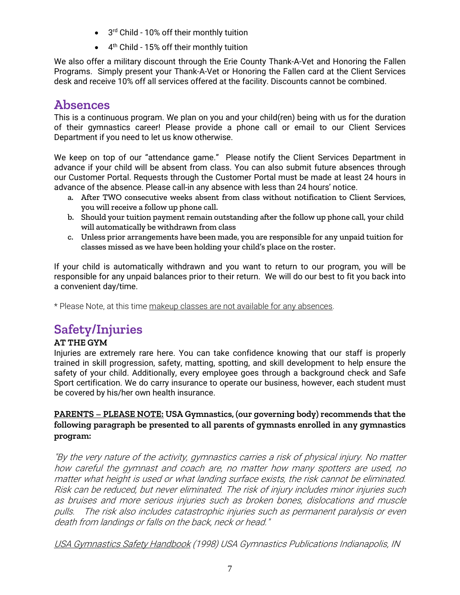- 3<sup>rd</sup> Child 10% off their monthly tuition
- 4<sup>th</sup> Child 15% off their monthly tuition

We also offer a military discount through the Erie County Thank-A-Vet and Honoring the Fallen Programs. Simply present your Thank-A-Vet or Honoring the Fallen card at the Client Services desk and receive 10% off all services offered at the facility. Discounts cannot be combined.

## **Absences**

This is a continuous program. We plan on you and your child(ren) being with us for the duration of their gymnastics career! Please provide a phone call or email to our Client Services Department if you need to let us know otherwise.

We keep on top of our "attendance game." Please notify the Client Services Department in advance if your child will be absent from class. You can also submit future absences through our Customer Portal. Requests through the Customer Portal must be made at least 24 hours in advance of the absence. Please call-in any absence with less than 24 hours' notice.

- a. After TWO consecutive weeks absent from class without notification to Client Services, you will receive a follow up phone call.
- b. Should your tuition payment remain outstanding after the follow up phone call, your child will automatically be withdrawn from class
- c. Unless prior arrangements have been made, you are responsible for any unpaid tuition for classes missed as we have been holding your child's place on the roster.

If your child is automatically withdrawn and you want to return to our program, you will be responsible for any unpaid balances prior to their return. We will do our best to fit you back into a convenient day/time.

\* Please Note, at this time makeup classes are not available for any absences.

## **Safety/Injuries**

#### **AT THE GYM**

Injuries are extremely rare here. You can take confidence knowing that our staff is properly trained in skill progression, safety, matting, spotting, and skill development to help ensure the safety of your child. Additionally, every employee goes through a background check and Safe Sport certification. We do carry insurance to operate our business, however, each student must be covered by his/her own health insurance.

#### **PARENTS – PLEASE NOTE: USA Gymnastics, (our governing body) recommends that the following paragraph be presented to all parents of gymnasts enrolled in any gymnastics program:**

"By the very nature of the activity, gymnastics carries a risk of physical injury. No matter how careful the gymnast and coach are, no matter how many spotters are used, no matter what height is used or what landing surface exists, the risk cannot be eliminated. Risk can be reduced, but never eliminated. The risk of injury includes minor injuries such as bruises and more serious injuries such as broken bones, dislocations and muscle pulls. The risk also includes catastrophic injuries such as permanent paralysis or even death from landings or falls on the back, neck or head."

USA Gymnastics Safety Handbook (1998) USA Gymnastics Publications Indianapolis, IN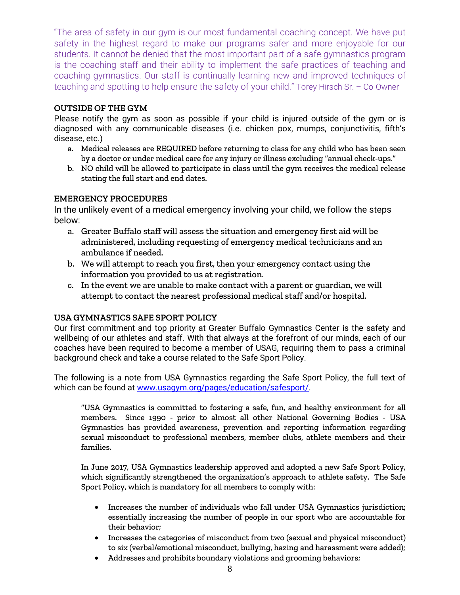"The area of safety in our gym is our most fundamental coaching concept. We have put safety in the highest regard to make our programs safer and more enjoyable for our students. It cannot be denied that the most important part of a safe gymnastics program is the coaching staff and their ability to implement the safe practices of teaching and coaching gymnastics. Our staff is continually learning new and improved techniques of teaching and spotting to help ensure the safety of your child." Torey Hirsch Sr. – Co-Owner

#### **OUTSIDE OF THE GYM**

Please notify the gym as soon as possible if your child is injured outside of the gym or is diagnosed with any communicable diseases (i.e. chicken pox, mumps, conjunctivitis, fifth's disease, etc.)

- a. Medical releases are REQUIRED before returning to class for any child who has been seen by a doctor or under medical care for any injury or illness excluding "annual check-ups."
- b. NO child will be allowed to participate in class until the gym receives the medical release stating the full start and end dates.

#### **EMERGENCY PROCEDURES**

In the unlikely event of a medical emergency involving your child, we follow the steps below:

- a. Greater Buffalo staff will assess the situation and emergency first aid will be administered, including requesting of emergency medical technicians and an ambulance if needed.
- b. We will attempt to reach you first, then your emergency contact using the information you provided to us at registration.
- c. In the event we are unable to make contact with a parent or guardian, we will attempt to contact the nearest professional medical staff and/or hospital.

#### **USA GYMNASTICS SAFE SPORT POLICY**

Our first commitment and top priority at Greater Buffalo Gymnastics Center is the safety and wellbeing of our athletes and staff. With that always at the forefront of our minds, each of our coaches have been required to become a member of USAG, requiring them to pass a criminal background check and take a course related to the Safe Sport Policy.

The following is a note from USA Gymnastics regarding the Safe Sport Policy, the full text of which can be found at [www.usagym.org/pages/education/safesport/.](http://www.usagym.org/pages/education/safesport/)

"USA Gymnastics is committed to fostering a safe, fun, and healthy environment for all members. Since 1990 - prior to almost all other National Governing Bodies - USA Gymnastics has provided awareness, prevention and reporting information regarding sexual misconduct to professional members, member clubs, athlete members and their families.

In June 2017, USA Gymnastics leadership approved and adopted a new Safe Sport Policy, which significantly strengthened the organization's approach to athlete safety. The Safe Sport Policy, which is mandatory for all members to comply with:

- Increases the number of individuals who fall under USA Gymnastics jurisdiction; essentially increasing the number of people in our sport who are accountable for their behavior;
- Increases the categories of misconduct from two (sexual and physical misconduct) to six (verbal/emotional misconduct, bullying, hazing and harassment were added);
- Addresses and prohibits boundary violations and grooming behaviors;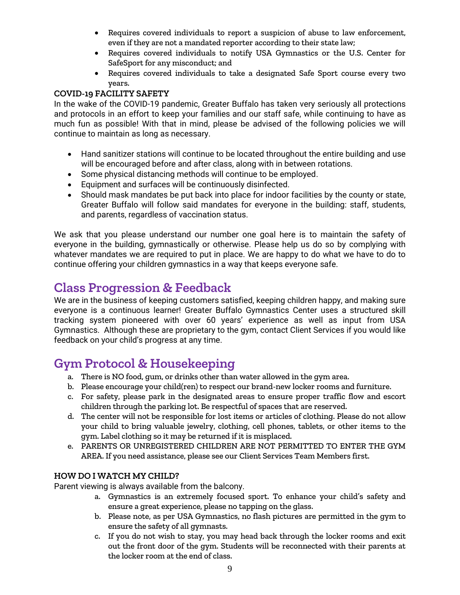- Requires covered individuals to report a suspicion of abuse to law enforcement, even if they are not a mandated reporter according to their state law;
- Requires covered individuals to notify USA Gymnastics or the U.S. Center for SafeSport for any misconduct; and
- Requires covered individuals to take a designated Safe Sport course every two years.

#### **COVID-19 FACILITY SAFETY**

In the wake of the COVID-19 pandemic, Greater Buffalo has taken very seriously all protections and protocols in an effort to keep your families and our staff safe, while continuing to have as much fun as possible! With that in mind, please be advised of the following policies we will continue to maintain as long as necessary.

- Hand sanitizer stations will continue to be located throughout the entire building and use will be encouraged before and after class, along with in between rotations.
- Some physical distancing methods will continue to be employed.
- Equipment and surfaces will be continuously disinfected.
- Should mask mandates be put back into place for indoor facilities by the county or state, Greater Buffalo will follow said mandates for everyone in the building: staff, students, and parents, regardless of vaccination status.

We ask that you please understand our number one goal here is to maintain the safety of everyone in the building, gymnastically or otherwise. Please help us do so by complying with whatever mandates we are required to put in place. We are happy to do what we have to do to continue offering your children gymnastics in a way that keeps everyone safe.

## **Class Progression & Feedback**

We are in the business of keeping customers satisfied, keeping children happy, and making sure everyone is a continuous learner! Greater Buffalo Gymnastics Center uses a structured skill tracking system pioneered with over 60 years' experience as well as input from USA Gymnastics. Although these are proprietary to the gym, contact Client Services if you would like feedback on your child's progress at any time.

## **Gym Protocol & Housekeeping**

- a. There is NO food, gum, or drinks other than water allowed in the gym area.
- b. Please encourage your child(ren) to respect our brand-new locker rooms and furniture.
- c. For safety, please park in the designated areas to ensure proper traffic flow and escort children through the parking lot. Be respectful of spaces that are reserved.
- d. The center will not be responsible for lost items or articles of clothing. Please do not allow your child to bring valuable jewelry, clothing, cell phones, tablets, or other items to the gym. Label clothing so it may be returned if it is misplaced.
- e. PARENTS OR UNREGISTERED CHILDREN ARE NOT PERMITTED TO ENTER THE GYM AREA. If you need assistance, please see our Client Services Team Members first.

#### **HOW DO I WATCH MY CHILD?**

Parent viewing is always available from the balcony.

- a. Gymnastics is an extremely focused sport. To enhance your child's safety and ensure a great experience, please no tapping on the glass.
- b. Please note, as per USA Gymnastics, no flash pictures are permitted in the gym to ensure the safety of all gymnasts.
- c. If you do not wish to stay, you may head back through the locker rooms and exit out the front door of the gym. Students will be reconnected with their parents at the locker room at the end of class.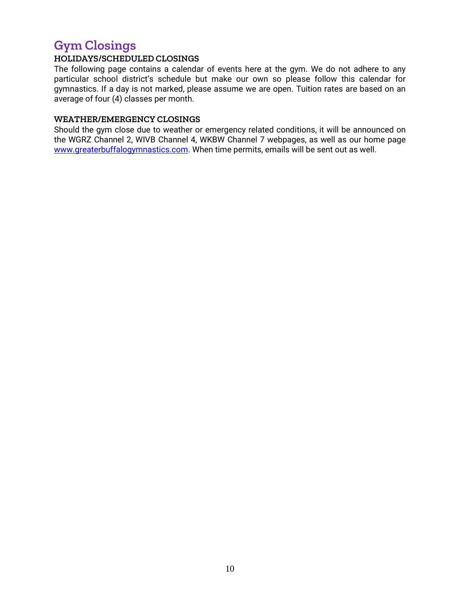## **Gym Closings**

#### **HOLIDAYS/SCHEDULED CLOSINGS**

The following page contains a calendar of events here at the gym. We do not adhere to any particular school district's schedule but make our own so please follow this calendar for gymnastics. If a day is not marked, please assume we are open. Tuition rates are based on an average of four (4) classes per month.

#### **WEATHER/EMERGENCY CLOSINGS**

Should the gym close due to weather or emergency related conditions, it will be announced on the WGRZ Channel 2, WIVB Channel 4, WKBW Channel 7 webpages, as well as our home page [www.greaterbuffalogymnastics.com.](http://www.greaterbuffalogymnastics.com/) When time permits, emails will be sent out as well.